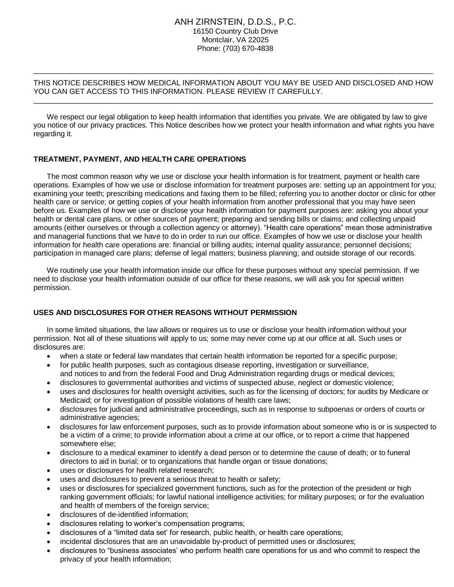### ANH ZIRNSTEIN, D.D.S., P.C. 16150 Country Club Drive Montclair, VA 22025 Phone: (703) 670-4838

#### THIS NOTICE DESCRIBES HOW MEDICAL INFORMATION ABOUT YOU MAY BE USED AND DISCLOSED AND HOW YOU CAN GET ACCESS TO THIS INFORMATION. PLEASE REVIEW IT CAREFULLY.  $\_$  ,  $\_$  ,  $\_$  ,  $\_$  ,  $\_$  ,  $\_$  ,  $\_$  ,  $\_$  ,  $\_$  ,  $\_$  ,  $\_$  ,  $\_$  ,  $\_$  ,  $\_$  ,  $\_$  ,  $\_$  ,  $\_$  ,  $\_$  ,  $\_$  ,  $\_$  ,  $\_$  ,  $\_$  ,  $\_$  ,  $\_$  ,  $\_$  ,  $\_$  ,  $\_$  ,  $\_$  ,  $\_$  ,  $\_$  ,  $\_$  ,  $\_$  ,  $\_$  ,  $\_$  ,  $\_$  ,  $\_$  ,  $\_$  ,

 $\_$  ,  $\_$  ,  $\_$  ,  $\_$  ,  $\_$  ,  $\_$  ,  $\_$  ,  $\_$  ,  $\_$  ,  $\_$  ,  $\_$  ,  $\_$  ,  $\_$  ,  $\_$  ,  $\_$  ,  $\_$  ,  $\_$  ,  $\_$  ,  $\_$  ,  $\_$  ,  $\_$  ,  $\_$  ,  $\_$  ,  $\_$  ,  $\_$  ,  $\_$  ,  $\_$  ,  $\_$  ,  $\_$  ,  $\_$  ,  $\_$  ,  $\_$  ,  $\_$  ,  $\_$  ,  $\_$  ,  $\_$  ,  $\_$  ,

We respect our legal obligation to keep health information that identifies you private. We are obligated by law to give you notice of our privacy practices. This Notice describes how we protect your health information and what rights you have regarding it.

# **TREATMENT, PAYMENT, AND HEALTH CARE OPERATIONS**

The most common reason why we use or disclose your health information is for treatment, payment or health care operations. Examples of how we use or disclose information for treatment purposes are: setting up an appointment for you; examining your teeth; prescribing medications and faxing them to be filled; referring you to another doctor or clinic for other health care or service; or getting copies of your health information from another professional that you may have seen before us. Examples of how we use or disclose your health information for payment purposes are: asking you about your health or dental care plans, or other sources of payment; preparing and sending bills or claims; and collecting unpaid amounts (either ourselves or through a collection agency or attorney). "Health care operations" mean those administrative and managerial functions that we have to do in order to run our office. Examples of how we use or disclose your health information for health care operations are: financial or billing audits; internal quality assurance; personnel decisions; participation in managed care plans; defense of legal matters; business planning; and outside storage of our records.

We routinely use your health information inside our office for these purposes without any special permission. If we need to disclose your health information outside of our office for these reasons, we will ask you for special written permission.

# **USES AND DISCLOSURES FOR OTHER REASONS WITHOUT PERMISSION**

In some limited situations, the law allows or requires us to use or disclose your health information without your permission. Not all of these situations will apply to us; some may never come up at our office at all. Such uses or disclosures are:

- when a state or federal law mandates that certain health information be reported for a specific purpose;
- for public health purposes, such as contagious disease reporting, investigation or surveillance, and notices to and from the federal Food and Drug Administration regarding drugs or medical devices;
- disclosures to governmental authorities and victims of suspected abuse, neglect or domestic violence;
- uses and disclosures for health oversight activities, such as for the licensing of doctors; for audits by Medicare or Medicaid; or for investigation of possible violations of health care laws;
- disclosures for judicial and administrative proceedings, such as in response to subpoenas or orders of courts or administrative agencies;
- disclosures for law enforcement purposes, such as to provide information about someone who is or is suspected to be a victim of a crime; to provide information about a crime at our office, or to report a crime that happened somewhere else;
- disclosure to a medical examiner to identify a dead person or to determine the cause of death; or to funeral directors to aid in burial; or to organizations that handle organ or tissue donations;
- uses or disclosures for health related research;
- uses and disclosures to prevent a serious threat to health or safety;
- uses or disclosures for specialized government functions, such as for the protection of the president or high ranking government officials; for lawful national intelligence activities; for military purposes; or for the evaluation and health of members of the foreign service;
- disclosures of de-identified information;
- disclosures relating to worker's compensation programs;
- disclosures of a "limited data set' for research, public health, or health care operations;
- incidental disclosures that are an unavoidable by-product of permitted uses or disclosures;
- disclosures to "business associates' who perform health care operations for us and who commit to respect the privacy of your health information;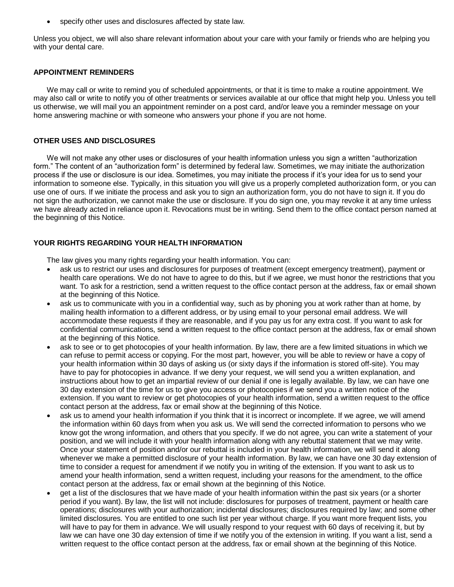specify other uses and disclosures affected by state law.

Unless you object, we will also share relevant information about your care with your family or friends who are helping you with your dental care.

### **APPOINTMENT REMINDERS**

We may call or write to remind you of scheduled appointments, or that it is time to make a routine appointment. We may also call or write to notify you of other treatments or services available at our office that might help you. Unless you tell us otherwise, we will mail you an appointment reminder on a post card, and/or leave you a reminder message on your home answering machine or with someone who answers your phone if you are not home.

## **OTHER USES AND DISCLOSURES**

We will not make any other uses or disclosures of your health information unless you sign a written "authorization form." The content of an "authorization form" is determined by federal law. Sometimes, we may initiate the authorization process if the use or disclosure is our idea. Sometimes, you may initiate the process if it's your idea for us to send your information to someone else. Typically, in this situation you will give us a properly completed authorization form, or you can use one of ours. If we initiate the process and ask you to sign an authorization form, you do not have to sign it. If you do not sign the authorization, we cannot make the use or disclosure. If you do sign one, you may revoke it at any time unless we have already acted in reliance upon it. Revocations must be in writing. Send them to the office contact person named at the beginning of this Notice.

# **YOUR RIGHTS REGARDING YOUR HEALTH INFORMATION**

The law gives you many rights regarding your health information. You can:

- ask us to restrict our uses and disclosures for purposes of treatment (except emergency treatment), payment or health care operations. We do not have to agree to do this, but if we agree, we must honor the restrictions that you want. To ask for a restriction, send a written request to the office contact person at the address, fax or email shown at the beginning of this Notice.
- ask us to communicate with you in a confidential way, such as by phoning you at work rather than at home, by mailing health information to a different address, or by using email to your personal email address. We will accommodate these requests if they are reasonable, and if you pay us for any extra cost. If you want to ask for confidential communications, send a written request to the office contact person at the address, fax or email shown at the beginning of this Notice.
- ask to see or to get photocopies of your health information. By law, there are a few limited situations in which we can refuse to permit access or copying. For the most part, however, you will be able to review or have a copy of your health information within 30 days of asking us (or sixty days if the information is stored off-site). You may have to pay for photocopies in advance. If we deny your request, we will send you a written explanation, and instructions about how to get an impartial review of our denial if one is legally available. By law, we can have one 30 day extension of the time for us to give you access or photocopies if we send you a written notice of the extension. If you want to review or get photocopies of your health information, send a written request to the office contact person at the address, fax or email show at the beginning of this Notice.
- ask us to amend your health information if you think that it is incorrect or incomplete. If we agree, we will amend the information within 60 days from when you ask us. We will send the corrected information to persons who we know got the wrong information, and others that you specify. If we do not agree, you can write a statement of your position, and we will include it with your health information along with any rebuttal statement that we may write. Once your statement of position and/or our rebuttal is included in your health information, we will send it along whenever we make a permitted disclosure of your health information. By law, we can have one 30 day extension of time to consider a request for amendment if we notify you in writing of the extension. If you want to ask us to amend your health information, send a written request, including your reasons for the amendment, to the office contact person at the address, fax or email shown at the beginning of this Notice.
- get a list of the disclosures that we have made of your health information within the past six years (or a shorter period if you want). By law, the list will not include: disclosures for purposes of treatment, payment or health care operations; disclosures with your authorization; incidental disclosures; disclosures required by law; and some other limited disclosures. You are entitled to one such list per year without charge. If you want more frequent lists, you will have to pay for them in advance. We will usually respond to your request with 60 days of receiving it, but by law we can have one 30 day extension of time if we notify you of the extension in writing. If you want a list, send a written request to the office contact person at the address, fax or email shown at the beginning of this Notice.